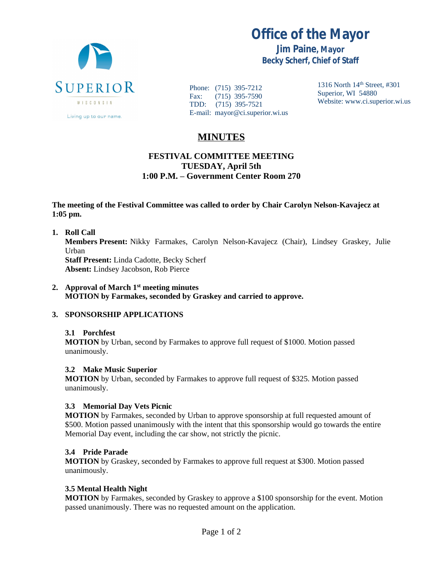

**Office of the Mayor**

**Jim Paine, Mayor Becky Scherf, Chief of Staff**

Phone: (715) 395-7212 Fax: (715) 395-7590 TDD: (715) 395-7521 E-mail: mayor@ci.superior.wi.us 1316 North 14th Street, #301 Superior, WI 54880 Website: www.ci.superior.wi.us

# **MINUTES**

## **FESTIVAL COMMITTEE MEETING TUESDAY, April 5th 1:00 P.M. – Government Center Room 270**

#### **The meeting of the Festival Committee was called to order by Chair Carolyn Nelson-Kavajecz at 1:05 pm.**

**1. Roll Call**

**Members Present:** Nikky Farmakes, Carolyn Nelson-Kavajecz (Chair), Lindsey Graskey, Julie Urban

**Staff Present:** Linda Cadotte, Becky Scherf **Absent:** Lindsey Jacobson, Rob Pierce

**2. Approval of March 1st meeting minutes MOTION by Farmakes, seconded by Graskey and carried to approve.**

### **3. SPONSORSHIP APPLICATIONS**

#### **3.1 Porchfest**

**MOTION** by Urban, second by Farmakes to approve full request of \$1000. Motion passed unanimously.

#### **3.2 Make Music Superior**

**MOTION** by Urban, seconded by Farmakes to approve full request of \$325. Motion passed unanimously.

#### **3.3 Memorial Day Vets Picnic**

**MOTION** by Farmakes, seconded by Urban to approve sponsorship at full requested amount of \$500. Motion passed unanimously with the intent that this sponsorship would go towards the entire Memorial Day event, including the car show, not strictly the picnic.

#### **3.4 Pride Parade**

**MOTION** by Graskey, seconded by Farmakes to approve full request at \$300. Motion passed unanimously.

#### **3.5 Mental Health Night**

**MOTION** by Farmakes, seconded by Graskey to approve a \$100 sponsorship for the event. Motion passed unanimously. There was no requested amount on the application.